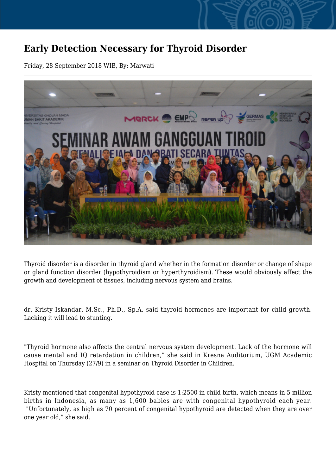## **Early Detection Necessary for Thyroid Disorder**

Friday, 28 September 2018 WIB, By: Marwati



Thyroid disorder is a disorder in thyroid gland whether in the formation disorder or change of shape or gland function disorder (hypothyroidism or hyperthyroidism). These would obviously affect the growth and development of tissues, including nervous system and brains.

dr. Kristy Iskandar, M.Sc., Ph.D., Sp.A, said thyroid hormones are important for child growth. Lacking it will lead to stunting.

"Thyroid hormone also affects the central nervous system development. Lack of the hormone will cause mental and IQ retardation in children," she said in Kresna Auditorium, UGM Academic Hospital on Thursday (27/9) in a seminar on Thyroid Disorder in Children.

Kristy mentioned that congenital hypothyroid case is 1:2500 in child birth, which means in 5 million births in Indonesia, as many as 1,600 babies are with congenital hypothyroid each year. "Unfortunately, as high as 70 percent of congenital hypothyroid are detected when they are over one year old," she said.